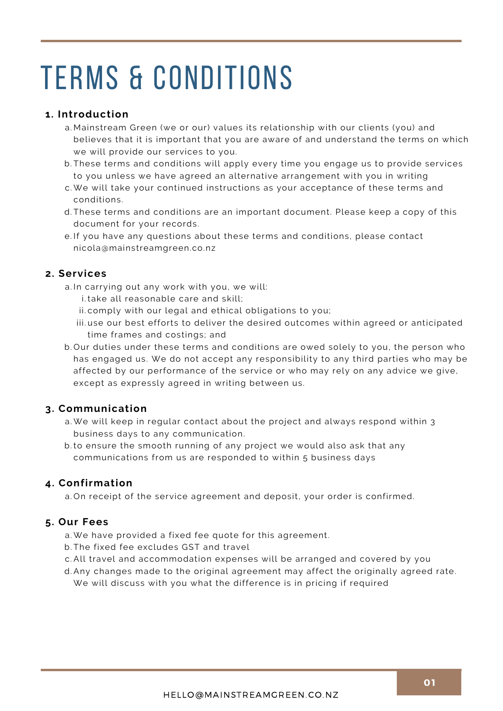#### **1. Introduction**

- Mainstream Green (we or our) values its relationship with our clients (you) and a. believes that it is important that you are aware of and understand the terms on which we will provide our services to you.
- b.These terms and conditions will apply every time you engage us to provide services to you unless we have agreed an alternative arrangement with you in writing
- We will take your continued instructions as your acceptance of these terms and c. conditions.
- d.These terms and conditions are an important document. Please keep a copy of this document for your records.
- e.If you have any questions about these terms and conditions, please contact nicola@mainstreamgreen.co.nz

#### **2. Services**

- a.In carrying out any work with you, we will:
	- i.take all reasonable care and skill;
	- ii.comply with our legal and ethical obligations to you;
	- iii.use our best efforts to deliver the desired outcomes within agreed or anticipated time frames and costings; and
- b.Our duties under these terms and conditions are owed solely to you, the person who has engaged us. We do not accept any responsibility to any third parties who may be affected by our performance of the service or who may rely on any advice we give, except as expressly agreed in writing between us.

#### **3. Communication**

- We will keep in regular contact about the project and always respond within 3 a. business days to any communication.
- b.to ensure the smooth running of any project we would also ask that any communications from us are responded to within 5 business days

#### **4. Confirmation**

a.On receipt of the service agreement and deposit, your order is confirmed.

#### **5. Our Fees**

- We have provided a fixed fee quote for this agreement. a.
- The fixed fee excludes GST and travel b.
- All travel and accommodation expenses will be arranged and covered by you c.
- Any changes made to the original agreement may affect the originally agreed rate. d. We will discuss with you what the difference is in pricing if required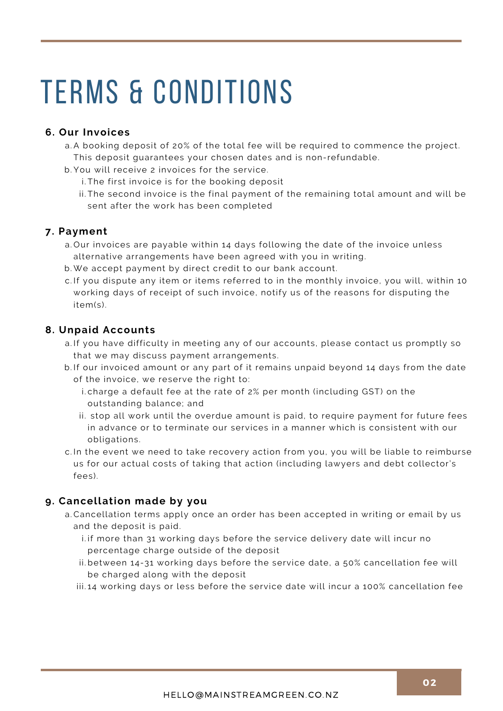## **6. Our Invoices**

- A booking deposit of 20% of the total fee will be required to commence the project. a. This deposit guarantees your chosen dates and is non-refundable.
- You will receive 2 invoices for the service. b.
	- i.The first invoice is for the booking deposit
	- ii.The second invoice is the final payment of the remaining total amount and will be sent after the work has been completed

## **7. Payment**

- a.Our invoices are payable within 14 days following the date of the invoice unless alternative arrangements have been agreed with you in writing.
- We accept payment by direct credit to our bank account. b.
- c.If you dispute any item or items referred to in the monthly invoice, you will, within 10 working days of receipt of such invoice, notify us of the reasons for disputing the item(s).

## **8. Unpaid Accounts**

- a.If you have difficulty in meeting any of our accounts, please contact us promptly so that we may discuss payment arrangements.
- b. If our invoiced amount or any part of it remains unpaid beyond 14 days from the date of the invoice, we reserve the right to:
	- charge a default fee at the rate of 2% per month (including GST) on the i. outstanding balance; and
	- ii. stop all work until the overdue amount is paid, to require payment for future fees in advance or to terminate our services in a manner which is consistent with our obligations.
- c.In the event we need to take recovery action from you, you will be liable to reimburse us for our actual costs of taking that action (including lawyers and debt collector's fees).

#### **9. Cancellation made by you**

- a.Cancellation terms apply once an order has been accepted in writing or email by us and the deposit is paid.
	- i.if more than 31 working days before the service delivery date will incur no percentage charge outside of the deposit
	- ii.between 14-31 working days before the service date, a 50% cancellation fee will be charged along with the deposit
	- $\,$ iii.14 working days or less before the service date will incur a 100% cancellation fee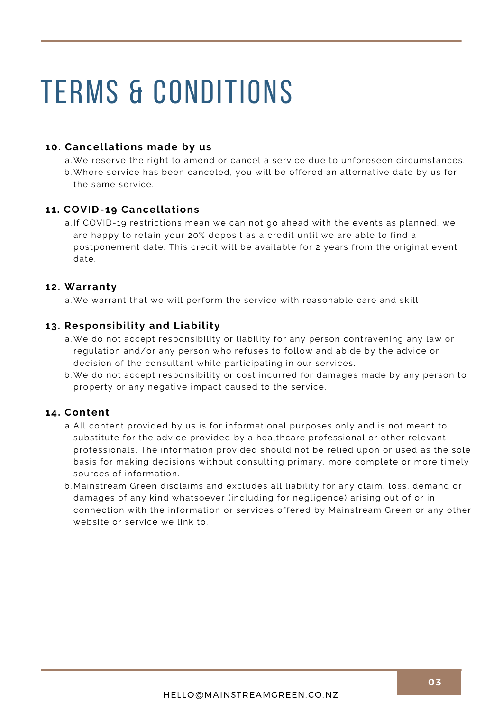### **10. Cancellations made by us**

We reserve the right to amend or cancel a service due to unforeseen circumstances. a. b. Where service has been canceled, you will be offered an alternative date by us for the same service.

#### **11. COVID-19 Cancellations**

a.If COVID-19 restrictions mean we can not go ahead with the events as planned, we are happy to retain your 20% deposit as a credit until we are able to find a postponement date. This credit will be available for 2 years from the original event date.

#### **12. Warranty**

a. We warrant that we will perform the service with reasonable care and skill

## **13. Responsibility and Liability**

- a. We do not accept responsibility or liability for any person contravening any law or regulation and/or any person who refuses to follow and abide by the advice or decision of the consultant while participating in our services.
- b. We do not accept responsibility or cost incurred for damages made by any person to property or any negative impact caused to the service.

#### **14. Content**

- All content provided by us is for informational purposes only and is not meant to a. substitute for the advice provided by a healthcare professional or other relevant professionals. The information provided should not be relied upon or used as the sole basis for making decisions without consulting primary, more complete or more timely sources of information.
- Mainstream Green disclaims and excludes all liability for any claim, loss, demand or b. damages of any kind whatsoever (including for negligence) arising out of or in connection with the information or services offered by Mainstream Green or any other website or service we link to.